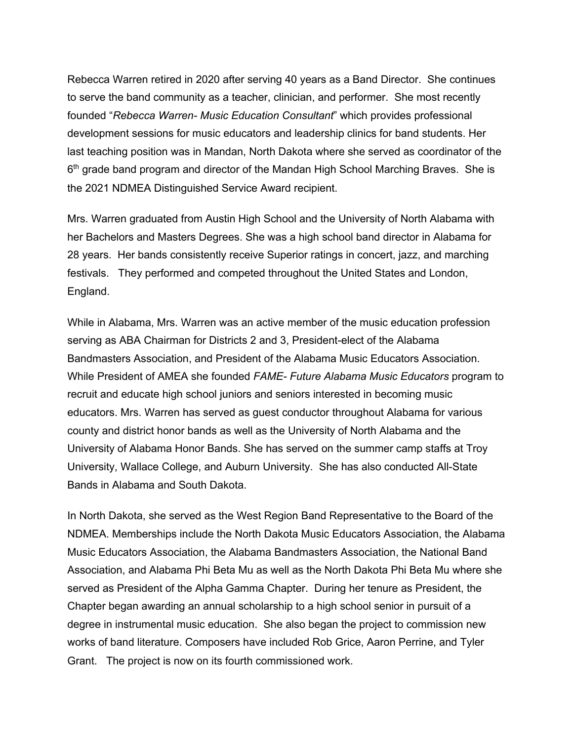Rebecca Warren retired in 2020 after serving 40 years as a Band Director. She continues to serve the band community as a teacher, clinician, and performer. She most recently founded "*Rebecca Warren- Music Education Consultant*" which provides professional development sessions for music educators and leadership clinics for band students. Her last teaching position was in Mandan, North Dakota where she served as coordinator of the  $6<sup>th</sup>$  grade band program and director of the Mandan High School Marching Braves. She is the 2021 NDMEA Distinguished Service Award recipient.

Mrs. Warren graduated from Austin High School and the University of North Alabama with her Bachelors and Masters Degrees. She was a high school band director in Alabama for 28 years. Her bands consistently receive Superior ratings in concert, jazz, and marching festivals. They performed and competed throughout the United States and London, England.

While in Alabama, Mrs. Warren was an active member of the music education profession serving as ABA Chairman for Districts 2 and 3, President-elect of the Alabama Bandmasters Association, and President of the Alabama Music Educators Association. While President of AMEA she founded *FAME- Future Alabama Music Educators* program to recruit and educate high school juniors and seniors interested in becoming music educators. Mrs. Warren has served as guest conductor throughout Alabama for various county and district honor bands as well as the University of North Alabama and the University of Alabama Honor Bands. She has served on the summer camp staffs at Troy University, Wallace College, and Auburn University. She has also conducted All-State Bands in Alabama and South Dakota.

In North Dakota, she served as the West Region Band Representative to the Board of the NDMEA. Memberships include the North Dakota Music Educators Association, the Alabama Music Educators Association, the Alabama Bandmasters Association, the National Band Association, and Alabama Phi Beta Mu as well as the North Dakota Phi Beta Mu where she served as President of the Alpha Gamma Chapter. During her tenure as President, the Chapter began awarding an annual scholarship to a high school senior in pursuit of a degree in instrumental music education. She also began the project to commission new works of band literature. Composers have included Rob Grice, Aaron Perrine, and Tyler Grant. The project is now on its fourth commissioned work.